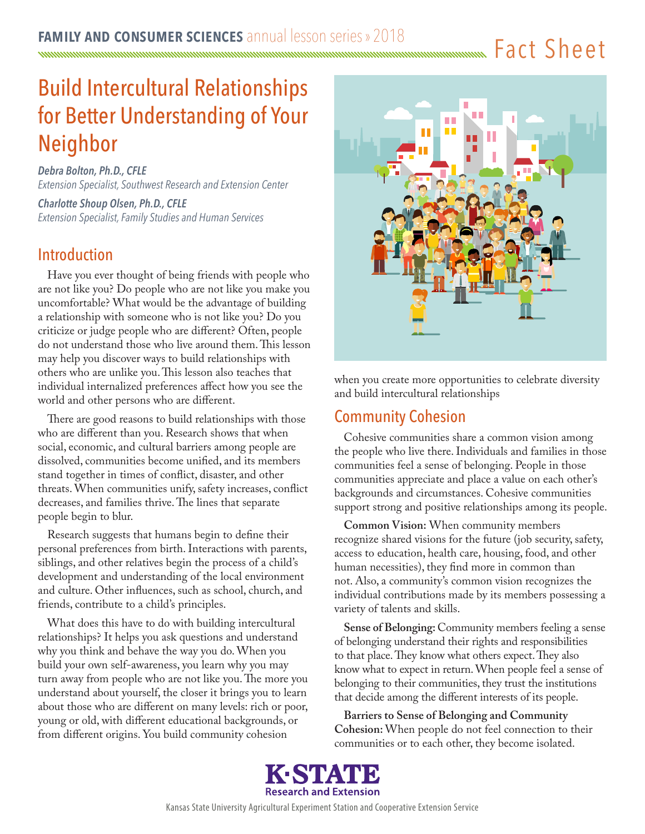Fact Sheet

# Build Intercultural Relationships for Better Understanding of Your Neighbor

*Debra Bolton, Ph.D., CFLE Extension Specialist, Southwest Research and Extension Center*

*Charlotte Shoup Olsen, Ph.D., CFLE Extension Specialist, Family Studies and Human Services*

## **Introduction**

Have you ever thought of being friends with people who are not like you? Do people who are not like you make you uncomfortable? What would be the advantage of building a relationship with someone who is not like you? Do you criticize or judge people who are different? Often, people do not understand those who live around them. This lesson may help you discover ways to build relationships with others who are unlike you. This lesson also teaches that individual internalized preferences affect how you see the world and other persons who are different.

There are good reasons to build relationships with those who are different than you. Research shows that when social, economic, and cultural barriers among people are dissolved, communities become unified, and its members stand together in times of conflict, disaster, and other threats. When communities unify, safety increases, conflict decreases, and families thrive. The lines that separate people begin to blur.

Research suggests that humans begin to define their personal preferences from birth. Interactions with parents, siblings, and other relatives begin the process of a child's development and understanding of the local environment and culture. Other influences, such as school, church, and friends, contribute to a child's principles.

What does this have to do with building intercultural relationships? It helps you ask questions and understand why you think and behave the way you do. When you build your own self-awareness, you learn why you may turn away from people who are not like you. The more you understand about yourself, the closer it brings you to learn about those who are different on many levels: rich or poor, young or old, with different educational backgrounds, or from different origins. You build community cohesion



when you create more opportunities to celebrate diversity and build intercultural relationships

## Community Cohesion

Cohesive communities share a common vision among the people who live there. Individuals and families in those communities feel a sense of belonging. People in those communities appreciate and place a value on each other's backgrounds and circumstances. Cohesive communities support strong and positive relationships among its people.

**Common Vision:** When community members recognize shared visions for the future (job security, safety, access to education, health care, housing, food, and other human necessities), they find more in common than not. Also, a community's common vision recognizes the individual contributions made by its members possessing a variety of talents and skills.

**Sense of Belonging:** Community members feeling a sense of belonging understand their rights and responsibilities to that place. They know what others expect. They also know what to expect in return. When people feel a sense of belonging to their communities, they trust the institutions that decide among the different interests of its people.

**Barriers to Sense of Belonging and Community Cohesion:** When people do not feel connection to their communities or to each other, they become isolated.

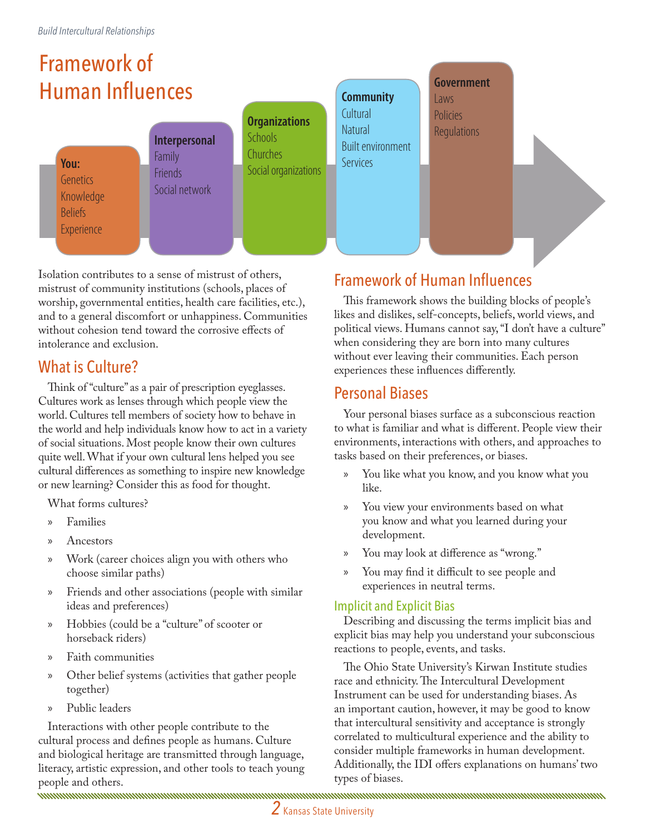# Framework of Human Influences

**You: Genetics** Knowledge **Beliefs Experience** 

**Interpersonal Family** Friends Social network

**Organizations Schools Churches** Social organizations

### **Community**

Cultural **Natural** Built environment Services

**Government** Laws

Policies **Regulations** 

Isolation contributes to a sense of mistrust of others, mistrust of community institutions (schools, places of worship, governmental entities, health care facilities, etc.), and to a general discomfort or unhappiness. Communities without cohesion tend toward the corrosive effects of intolerance and exclusion.

## What is Culture?

Think of "culture" as a pair of prescription eyeglasses. Cultures work as lenses through which people view the world. Cultures tell members of society how to behave in the world and help individuals know how to act in a variety of social situations. Most people know their own cultures quite well. What if your own cultural lens helped you see cultural differences as something to inspire new knowledge or new learning? Consider this as food for thought.

What forms cultures?

- » Families
- » Ancestors
- » Work (career choices align you with others who choose similar paths)
- » Friends and other associations (people with similar ideas and preferences)
- » Hobbies (could be a "culture" of scooter or horseback riders)
- » Faith communities
- » Other belief systems (activities that gather people together)
- » Public leaders

Interactions with other people contribute to the cultural process and defines people as humans. Culture and biological heritage are transmitted through language, literacy, artistic expression, and other tools to teach young people and others.<br>www.www.www.www.www.www.www.www.ww

## Framework of Human Influences

This framework shows the building blocks of people's likes and dislikes, self-concepts, beliefs, world views, and political views. Humans cannot say, "I don't have a culture" when considering they are born into many cultures without ever leaving their communities. Each person experiences these influences differently.

## Personal Biases

Your personal biases surface as a subconscious reaction to what is familiar and what is different. People view their environments, interactions with others, and approaches to tasks based on their preferences, or biases.

- » You like what you know, and you know what you like.
- » You view your environments based on what you know and what you learned during your development.
- » You may look at difference as "wrong."
- You may find it difficult to see people and experiences in neutral terms.

## Implicit and Explicit Bias

Describing and discussing the terms implicit bias and explicit bias may help you understand your subconscious reactions to people, events, and tasks.

The Ohio State University's Kirwan Institute studies race and ethnicity. The Intercultural Development Instrument can be used for understanding biases. As an important caution, however, it may be good to know that intercultural sensitivity and acceptance is strongly correlated to multicultural experience and the ability to consider multiple frameworks in human development. Additionally, the IDI offers explanations on humans' two types of biases.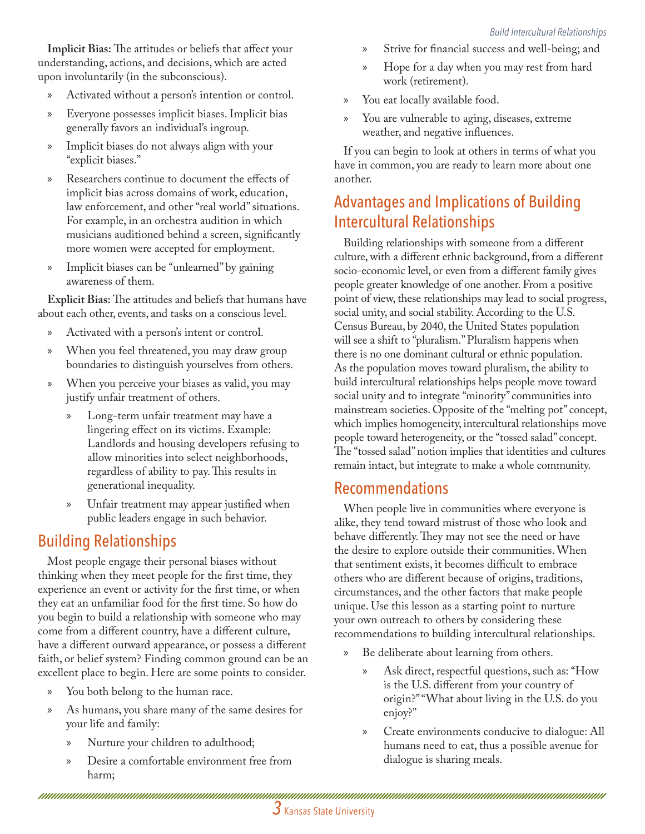**Implicit Bias:** The attitudes or beliefs that affect your understanding, actions, and decisions, which are acted upon involuntarily (in the subconscious).

- » Activated without a person's intention or control.
- » Everyone possesses implicit biases. Implicit bias generally favors an individual's ingroup.
- » Implicit biases do not always align with your "explicit biases."
- » Researchers continue to document the effects of implicit bias across domains of work, education, law enforcement, and other "real world" situations. For example, in an orchestra audition in which musicians auditioned behind a screen, significantly more women were accepted for employment.
- » Implicit biases can be "unlearned" by gaining awareness of them.

**Explicit Bias:** The attitudes and beliefs that humans have about each other, events, and tasks on a conscious level.

- » Activated with a person's intent or control.
- » When you feel threatened, you may draw group boundaries to distinguish yourselves from others.
- » When you perceive your biases as valid, you may justify unfair treatment of others.
	- » Long-term unfair treatment may have a lingering effect on its victims. Example: Landlords and housing developers refusing to allow minorities into select neighborhoods, regardless of ability to pay. This results in generational inequality.
	- » Unfair treatment may appear justified when public leaders engage in such behavior.

# Building Relationships

Most people engage their personal biases without thinking when they meet people for the first time, they experience an event or activity for the first time, or when they eat an unfamiliar food for the first time. So how do you begin to build a relationship with someone who may come from a different country, have a different culture, have a different outward appearance, or possess a different faith, or belief system? Finding common ground can be an excellent place to begin. Here are some points to consider.

- » You both belong to the human race.
- » As humans, you share many of the same desires for your life and family:
	- » Nurture your children to adulthood;
	- » Desire a comfortable environment free from harm;
- » Strive for financial success and well-being; and
- » Hope for a day when you may rest from hard work (retirement).
- » You eat locally available food.
- » You are vulnerable to aging, diseases, extreme weather, and negative influences.

If you can begin to look at others in terms of what you have in common, you are ready to learn more about one another.

# Advantages and Implications of Building Intercultural Relationships

Building relationships with someone from a different culture, with a different ethnic background, from a different socio-economic level, or even from a different family gives people greater knowledge of one another. From a positive point of view, these relationships may lead to social progress, social unity, and social stability. According to the U.S. Census Bureau, by 2040, the United States population will see a shift to "pluralism." Pluralism happens when there is no one dominant cultural or ethnic population. As the population moves toward pluralism, the ability to build intercultural relationships helps people move toward social unity and to integrate "minority" communities into mainstream societies. Opposite of the "melting pot" concept, which implies homogeneity, intercultural relationships move people toward heterogeneity, or the "tossed salad" concept. The "tossed salad" notion implies that identities and cultures remain intact, but integrate to make a whole community.

## Recommendations

When people live in communities where everyone is alike, they tend toward mistrust of those who look and behave differently. They may not see the need or have the desire to explore outside their communities. When that sentiment exists, it becomes difficult to embrace others who are different because of origins, traditions, circumstances, and the other factors that make people unique. Use this lesson as a starting point to nurture your own outreach to others by considering these recommendations to building intercultural relationships.

- » Be deliberate about learning from others.
	- » Ask direct, respectful questions, such as: "How is the U.S. different from your country of origin?" "What about living in the U.S. do you enjoy?"
	- » Create environments conducive to dialogue: All humans need to eat, thus a possible avenue for dialogue is sharing meals.